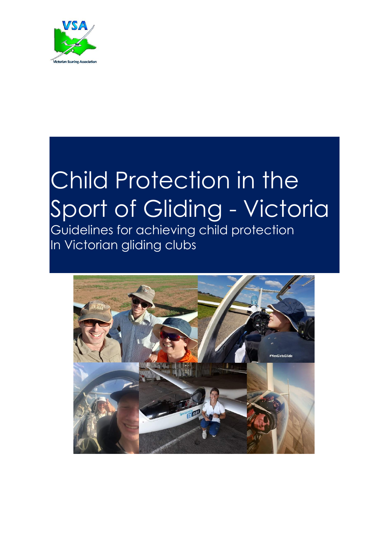

# Child Protection in the Sport of Gliding - Victoria

Guidelines for achieving child protection In Victorian gliding clubs

Child protection

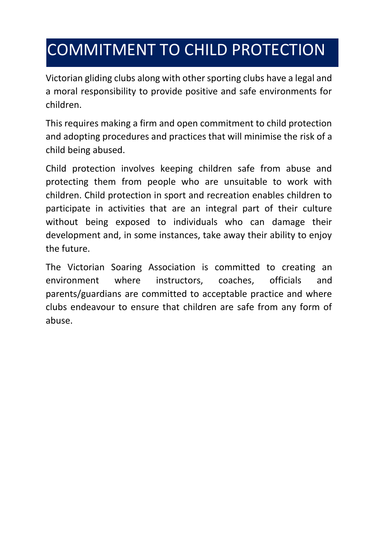## COMMITMENT TO CHILD PROTECTION

Victorian gliding clubs along with other sporting clubs have a legal and a moral responsibility to provide positive and safe environments for children.

This requires making a firm and open commitment to child protection and adopting procedures and practices that will minimise the risk of a child being abused.

Child protection involves keeping children safe from abuse and protecting them from people who are unsuitable to work with children. Child protection in sport and recreation enables children to participate in activities that are an integral part of their culture without being exposed to individuals who can damage their development and, in some instances, take away their ability to enjoy the future.

The Victorian Soaring Association is committed to creating an environment where instructors, coaches, officials and parents/guardians are committed to acceptable practice and where clubs endeavour to ensure that children are safe from any form of abuse.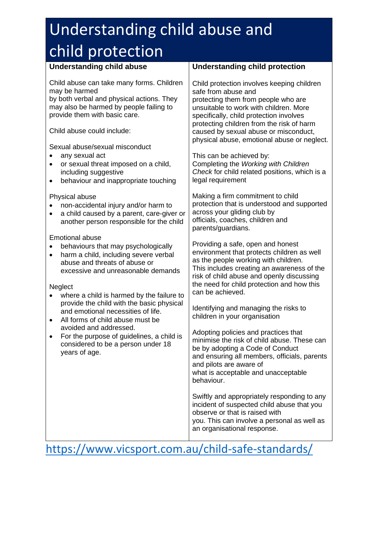## Understanding child abuse and child protection

### **Understanding child abuse**

Child abuse can take many forms. Children may be harmed

by both verbal and physical actions. They may also be harmed by people failing to provide them with basic care.

Child abuse could include:

Sexual abuse/sexual misconduct

- any sexual act
- or sexual threat imposed on a child, including suggestive
- behaviour and inappropriate touching

#### Physical abuse

- non-accidental injury and/or harm to
- a child caused by a parent, care-giver or another person responsible for the child

#### Emotional abuse

- behaviours that may psychologically
- harm a child, including severe verbal abuse and threats of abuse or excessive and unreasonable demands

**Neglect** 

- where a child is harmed by the failure to provide the child with the basic physical and emotional necessities of life.
- All forms of child abuse must be avoided and addressed.
- For the purpose of guidelines, a child is considered to be a person under 18 years of age.

#### **Understanding child protection**

Child protection involves keeping children safe from abuse and protecting them from people who are unsuitable to work with children. More specifically, child protection involves protecting children from the risk of harm caused by sexual abuse or misconduct, physical abuse, emotional abuse or neglect.

This can be achieved by: Completing the *Working with Children Check* for child related positions, which is a legal requirement

Making a firm commitment to child protection that is understood and supported across your gliding club by officials, coaches, children and parents/guardians.

Providing a safe, open and honest environment that protects children as well as the people working with children. This includes creating an awareness of the risk of child abuse and openly discussing the need for child protection and how this can be achieved.

Identifying and managing the risks to children in your organisation

Adopting policies and practices that minimise the risk of child abuse. These can be by adopting a Code of Conduct and ensuring all members, officials, parents and pilots are aware of what is acceptable and unacceptable behaviour.

Swiftly and appropriately responding to any incident of suspected child abuse that you observe or that is raised with you. This can involve a personal as well as an organisational response.

### https://www.vicsport.com.au/child-safe-standards/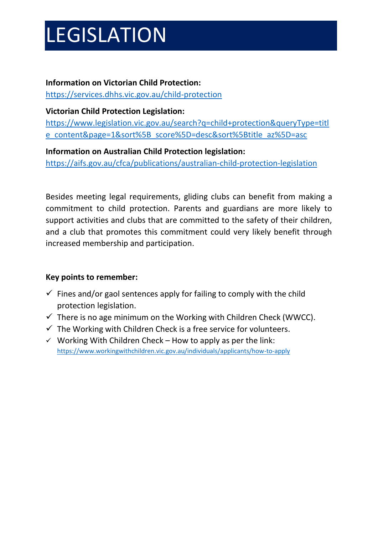# LEGISLATION

#### **Information on Victorian Child Protection:**

https://services.dhhs.vic.gov.au/child-protection

#### **Victorian Child Protection Legislation:**

https://www.legislation.vic.gov.au/search?q=child+protection&queryType=titl e\_content&page=1&sort%5B\_score%5D=desc&sort%5Btitle\_az%5D=asc

#### **Information on Australian Child Protection legislation:**

https://aifs.gov.au/cfca/publications/australian-child-protection-legislation

Besides meeting legal requirements, gliding clubs can benefit from making a commitment to child protection. Parents and guardians are more likely to support activities and clubs that are committed to the safety of their children, and a club that promotes this commitment could very likely benefit through increased membership and participation.

#### **Key points to remember:**

- $\checkmark$  Fines and/or gaol sentences apply for failing to comply with the child protection legislation.
- $\checkmark$  There is no age minimum on the Working with Children Check (WWCC).
- $\checkmark$  The Working with Children Check is a free service for volunteers.
- $\checkmark$  Working With Children Check How to apply as per the link: https://www.workingwithchildren.vic.gov.au/individuals/applicants/how-to-apply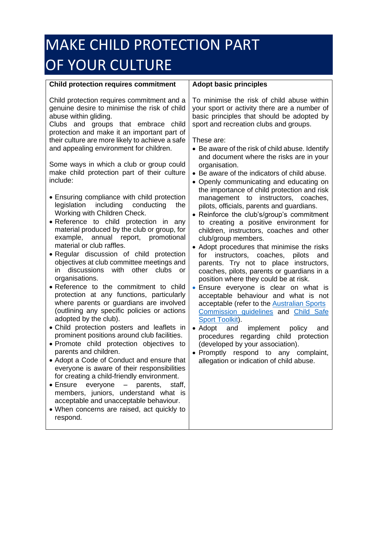## MAKE CHILD PROTECTION PART OF YOUR CULTURE

#### **Child protection requires commitment**

#### Child protection requires commitment and a genuine desire to minimise the risk of child abuse within gliding.

Clubs and groups that embrace child protection and make it an important part of their culture are more likely to achieve a safe and appealing environment for children.

Some ways in which a club or group could make child protection part of their culture include:

- Ensuring compliance with child protection legislation including conducting the Working with Children Check.
- Reference to child protection in any material produced by the club or group, for example, annual report, promotional material or club raffles.
- Regular discussion of child protection objectives at club committee meetings and in discussions with other clubs or organisations.
- Reference to the commitment to child protection at any functions, particularly where parents or guardians are involved (outlining any specific policies or actions adopted by the club).
- Child protection posters and leaflets in prominent positions around club facilities.
- Promote child protection objectives to parents and children.
- Adopt a Code of Conduct and ensure that everyone is aware of their responsibilities for creating a child-friendly environment.
- Ensure everyone parents, staff, members, juniors, understand what is acceptable and unacceptable behaviour.
- When concerns are raised, act quickly to respond.

#### **Adopt basic principles**

To minimise the risk of child abuse within your sport or activity there are a number of basic principles that should be adopted by sport and recreation clubs and groups.

These are:

- Be aware of the risk of child abuse. Identify and document where the risks are in your organisation.
- Be aware of the indicators of child abuse.
- Openly communicating and educating on the importance of child protection and risk management to instructors, coaches, pilots, officials, parents and guardians.
- Reinforce the club's/group's commitment to creating a positive environment for children, instructors, coaches and other club/group members.
- Adopt procedures that minimise the risks for instructors, coaches, pilots and parents. Try not to place instructors, coaches, pilots, parents or guardians in a position where they could be at risk.
- Ensure everyone is clear on what is acceptable behaviour and what is not acceptable (refer to the Australian Sports Commission guidelines and Child Safe Sport Toolkit).
- Adopt and implement policy and procedures regarding child protection (developed by your association).
- Promptly respond to any complaint, allegation or indication of child abuse.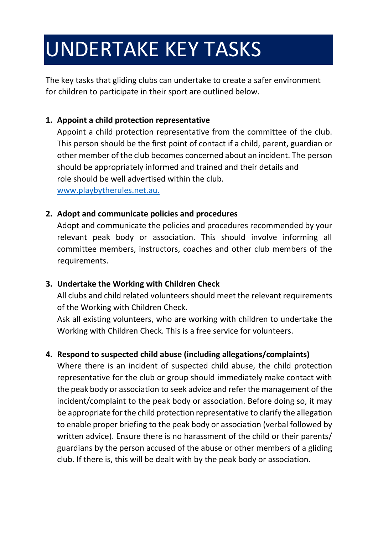# UNDERTAKE KEY TASKS

The key tasks that gliding clubs can undertake to create a safer environment for children to participate in their sport are outlined below.

#### **1. Appoint a child protection representative**

Appoint a child protection representative from the committee of the club. This person should be the first point of contact if a child, parent, guardian or other member of the club becomes concerned about an incident. The person should be appropriately informed and trained and their details and role should be well advertised within the club. www.playbytherules.net.au.

#### **2. Adopt and communicate policies and procedures**

Adopt and communicate the policies and procedures recommended by your relevant peak body or association. This should involve informing all committee members, instructors, coaches and other club members of the requirements.

#### **3. Undertake the Working with Children Check**

All clubs and child related volunteers should meet the relevant requirements of the Working with Children Check.

Ask all existing volunteers, who are working with children to undertake the Working with Children Check. This is a free service for volunteers.

#### **4. Respond to suspected child abuse (including allegations/complaints)**

Where there is an incident of suspected child abuse, the child protection representative for the club or group should immediately make contact with the peak body or association to seek advice and refer the management of the incident/complaint to the peak body or association. Before doing so, it may be appropriate for the child protection representative to clarify the allegation to enable proper briefing to the peak body or association (verbal followed by written advice). Ensure there is no harassment of the child or their parents/ guardians by the person accused of the abuse or other members of a gliding club. If there is, this will be dealt with by the peak body or association.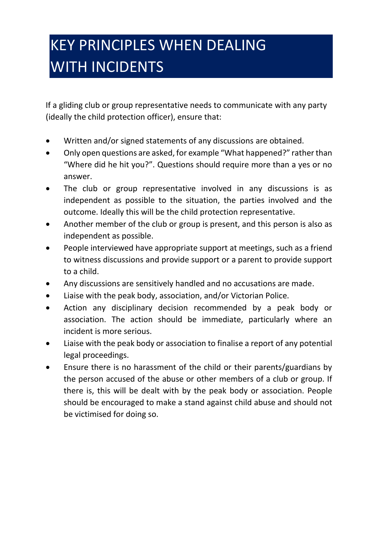## KEY PRINCIPLES WHEN DEALING WITH INCIDENTS

If a gliding club or group representative needs to communicate with any party (ideally the child protection officer), ensure that:

- Written and/or signed statements of any discussions are obtained.
- Only open questions are asked, for example "What happened?" rather than "Where did he hit you?". Questions should require more than a yes or no answer.
- The club or group representative involved in any discussions is as independent as possible to the situation, the parties involved and the outcome. Ideally this will be the child protection representative.
- Another member of the club or group is present, and this person is also as independent as possible.
- People interviewed have appropriate support at meetings, such as a friend to witness discussions and provide support or a parent to provide support to a child.
- Any discussions are sensitively handled and no accusations are made.
- Liaise with the peak body, association, and/or Victorian Police.
- Action any disciplinary decision recommended by a peak body or association. The action should be immediate, particularly where an incident is more serious.
- Liaise with the peak body or association to finalise a report of any potential legal proceedings.
- Ensure there is no harassment of the child or their parents/guardians by the person accused of the abuse or other members of a club or group. If there is, this will be dealt with by the peak body or association. People should be encouraged to make a stand against child abuse and should not be victimised for doing so.